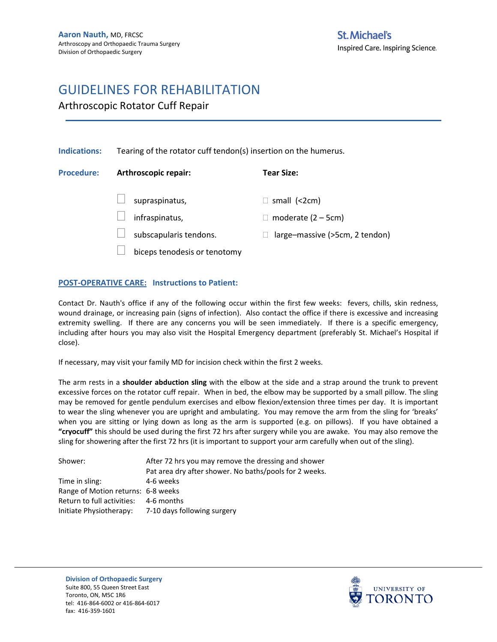Arthroscopic Rotator Cuff Repair

| <b>Indications:</b> | Tearing of the rotator cuff tendon(s) insertion on the humerus. |                                |  |
|---------------------|-----------------------------------------------------------------|--------------------------------|--|
| <b>Procedure:</b>   | Arthroscopic repair:                                            | <b>Tear Size:</b>              |  |
|                     | supraspinatus,                                                  | small $(2cm)$                  |  |
|                     | infraspinatus,                                                  | moderate $(2 - 5cm)$           |  |
|                     | subscapularis tendons.                                          | large-massive (>5cm, 2 tendon) |  |
|                     | biceps tenodesis or tenotomy                                    |                                |  |
|                     |                                                                 |                                |  |

#### **POST-OPERATIVE CARE: Instructions to Patient:**

Contact Dr. Nauth's office if any of the following occur within the first few weeks: fevers, chills, skin redness, wound drainage, or increasing pain (signs of infection). Also contact the office if there is excessive and increasing extremity swelling. If there are any concerns you will be seen immediately. If there is a specific emergency, including after hours you may also visit the Hospital Emergency department (preferably St. Michael's Hospital if close).

If necessary, may visit your family MD for incision check within the first 2 weeks.

The arm rests in a **shoulder abduction sling** with the elbow at the side and a strap around the trunk to prevent excessive forces on the rotator cuff repair. When in bed, the elbow may be supported by a small pillow. The sling may be removed for gentle pendulum exercises and elbow flexion/extension three times per day. It is important to wear the sling whenever you are upright and ambulating. You may remove the arm from the sling for 'breaks' when you are sitting or lying down as long as the arm is supported (e.g. on pillows). If you have obtained a **"cryocuff"** this should be used during the first 72 hrs after surgery while you are awake. You may also remove the sling for showering after the first 72 hrs (it is important to support your arm carefully when out of the sling).

| Shower:                            | After 72 hrs you may remove the dressing and shower    |  |
|------------------------------------|--------------------------------------------------------|--|
|                                    | Pat area dry after shower. No baths/pools for 2 weeks. |  |
| Time in sling:                     | 4-6 weeks                                              |  |
| Range of Motion returns: 6-8 weeks |                                                        |  |
| Return to full activities:         | 4-6 months                                             |  |
| Initiate Physiotherapy:            | 7-10 days following surgery                            |  |

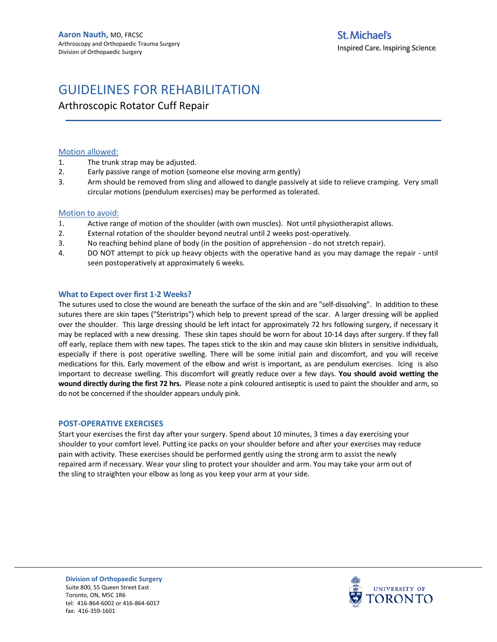Arthroscopic Rotator Cuff Repair

#### Motion allowed:

- 1. The trunk strap may be adjusted.
- 2. Early passive range of motion (someone else moving arm gently)
- 3. Arm should be removed from sling and allowed to dangle passively at side to relieve cramping. Very small circular motions (pendulum exercises) may be performed as tolerated.

#### Motion to avoid:

- 1. Active range of motion of the shoulder (with own muscles). Not until physiotherapist allows.
- 2. External rotation of the shoulder beyond neutral until 2 weeks post-operatively.
- 3. No reaching behind plane of body (in the position of apprehension do not stretch repair).
- 4. DO NOT attempt to pick up heavy objects with the operative hand as you may damage the repair until seen postoperatively at approximately 6 weeks.

#### **What to Expect over first 1-2 Weeks?**

The sutures used to close the wound are beneath the surface of the skin and are "self-dissolving". In addition to these sutures there are skin tapes ("Steristrips") which help to prevent spread of the scar. A larger dressing will be applied over the shoulder. This large dressing should be left intact for approximately 72 hrs following surgery, if necessary it may be replaced with a new dressing. These skin tapes should be worn for about 10-14 days after surgery. If they fall off early, replace them with new tapes. The tapes stick to the skin and may cause skin blisters in sensitive individuals, especially if there is post operative swelling. There will be some initial pain and discomfort, and you will receive medications for this. Early movement of the elbow and wrist is important, as are pendulum exercises. Icing is also important to decrease swelling. This discomfort will greatly reduce over a few days. **You should avoid wetting the wound directly during the first 72 hrs.** Please note a pink coloured antiseptic is used to paint the shoulder and arm, so do not be concerned if the shoulder appears unduly pink.

#### **POST-OPERATIVE EXERCISES**

Start your exercises the first day after your surgery. Spend about 10 minutes, 3 times a day exercising your shoulder to your comfort level. Putting ice packs on your shoulder before and after your exercises may reduce pain with activity. These exercises should be performed gently using the strong arm to assist the newly repaired arm if necessary. Wear your sling to protect your shoulder and arm. You may take your arm out of the sling to straighten your elbow as long as you keep your arm at your side.

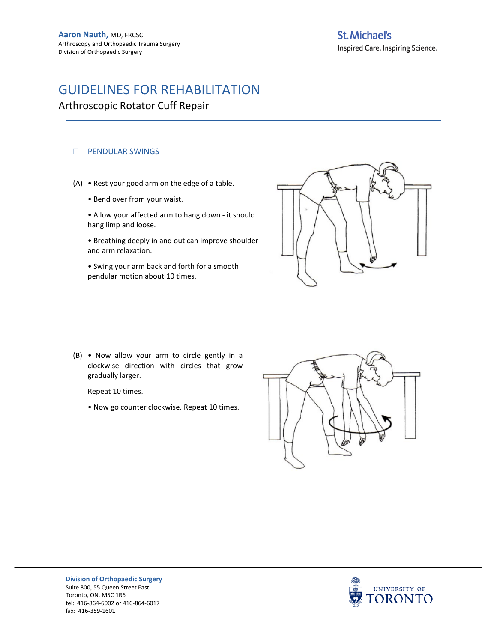### **St. Michael's**

Inspired Care. Inspiring Science.

### GUIDELINES FOR REHABILITATION

Arthroscopic Rotator Cuff Repair

#### **DENDULAR SWINGS**

- (A) Rest your good arm on the edge of a table.
	- Bend over from your waist.
	- Allow your affected arm to hang down it should hang limp and loose.
	- Breathing deeply in and out can improve shoulder and arm relaxation.
	- Swing your arm back and forth for a smooth pendular motion about 10 times.



(B) • Now allow your arm to circle gently in a clockwise direction with circles that grow gradually larger.

Repeat 10 times.

• Now go counter clockwise. Repeat 10 times.



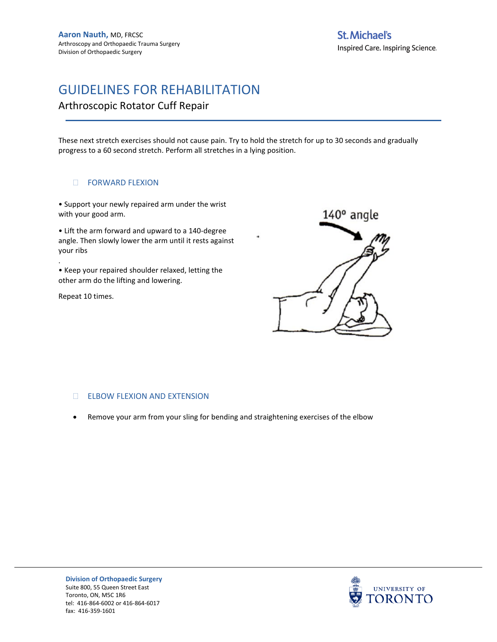Arthroscopic Rotator Cuff Repair

These next stretch exercises should not cause pain. Try to hold the stretch for up to 30 seconds and gradually progress to a 60 second stretch. Perform all stretches in a lying position.

#### **DE FORWARD FLEXION**

• Support your newly repaired arm under the wrist with your good arm.

• Lift the arm forward and upward to a 140-degree angle. Then slowly lower the arm until it rests against your ribs

• Keep your repaired shoulder relaxed, letting the other arm do the lifting and lowering.

Repeat 10 times.

.



#### ELBOW FLEXION AND EXTENSION

• Remove your arm from your sling for bending and straightening exercises of the elbow



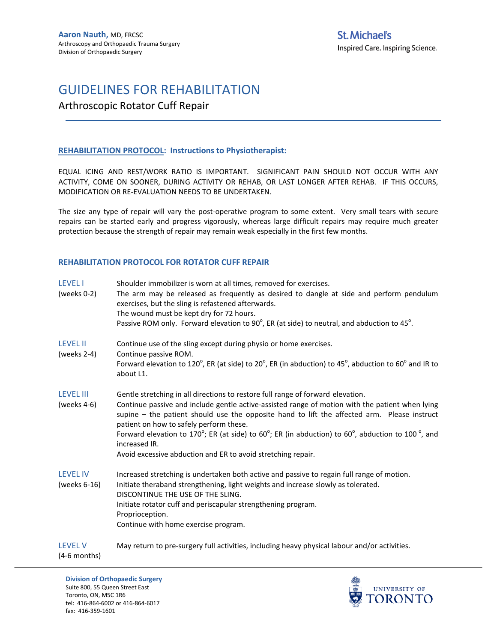### Arthroscopic Rotator Cuff Repair

#### **REHABILITATION PROTOCOL: Instructions to Physiotherapist:**

EQUAL ICING AND REST/WORK RATIO IS IMPORTANT. SIGNIFICANT PAIN SHOULD NOT OCCUR WITH ANY ACTIVITY, COME ON SOONER, DURING ACTIVITY OR REHAB, OR LAST LONGER AFTER REHAB. IF THIS OCCURS, MODIFICATION OR RE-EVALUATION NEEDS TO BE UNDERTAKEN.

The size any type of repair will vary the post-operative program to some extent. Very small tears with secure repairs can be started early and progress vigorously, whereas large difficult repairs may require much greater protection because the strength of repair may remain weak especially in the first few months.

#### **REHABILITATION PROTOCOL FOR ROTATOR CUFF REPAIR**

| <b>LEVEL I</b><br>(weeks $0-2$ )   | Shoulder immobilizer is worn at all times, removed for exercises.<br>The arm may be released as frequently as desired to dangle at side and perform pendulum<br>exercises, but the sling is refastened afterwards.<br>The wound must be kept dry for 72 hours.<br>Passive ROM only. Forward elevation to 90 $^{\circ}$ , ER (at side) to neutral, and abduction to 45 $^{\circ}$ .                                                                                                                                 |
|------------------------------------|--------------------------------------------------------------------------------------------------------------------------------------------------------------------------------------------------------------------------------------------------------------------------------------------------------------------------------------------------------------------------------------------------------------------------------------------------------------------------------------------------------------------|
| <b>LEVEL II</b><br>(weeks 2-4)     | Continue use of the sling except during physio or home exercises.<br>Continue passive ROM.<br>Forward elevation to 120°, ER (at side) to 20°, ER (in abduction) to 45°, abduction to 60° and IR to<br>about L1.                                                                                                                                                                                                                                                                                                    |
| <b>LEVEL III</b><br>(weeks $4-6$ ) | Gentle stretching in all directions to restore full range of forward elevation.<br>Continue passive and include gentle active-assisted range of motion with the patient when lying<br>supine - the patient should use the opposite hand to lift the affected arm. Please instruct<br>patient on how to safely perform these.<br>Forward elevation to 170°; ER (at side) to 60°; ER (in abduction) to 60°, abduction to 100 °, and<br>increased IR.<br>Avoid excessive abduction and ER to avoid stretching repair. |
| <b>LEVEL IV</b><br>(weeks 6-16)    | Increased stretching is undertaken both active and passive to regain full range of motion.<br>Initiate theraband strengthening, light weights and increase slowly as tolerated.<br>DISCONTINUE THE USE OF THE SLING.<br>Initiate rotator cuff and periscapular strengthening program.<br>Proprioception.<br>Continue with home exercise program.                                                                                                                                                                   |
| <b>LEVEL V</b>                     | May return to pre-surgery full activities, including heavy physical labour and/or activities.                                                                                                                                                                                                                                                                                                                                                                                                                      |

(4-6 months)